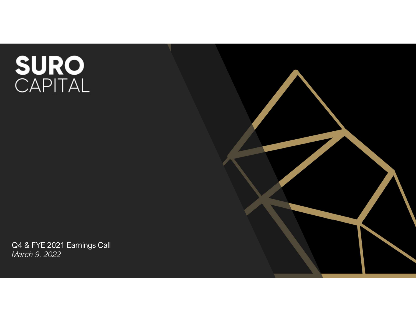# SURO<br>CAPITAL

Q4 & FYE 2021 Earnings Call March 9, 2022

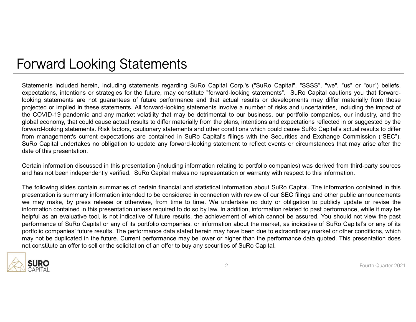## Forward Looking Statements

Statements included herein, including statements regarding SuRo Capital Corp.'s ("SuRo Capital", "SSSS", "we", "us" or "our") beliefs, expectations, intentions or strategies for the future, may constitute "forward-looking Fortward Looking Statements including statements regarding SuRo Capital Corp.'s ("SuRo Capital", "SSSS", "we", "us" or "our") beliefs.<br>expectations, intentions or strategies for the future, may constitute "forward-looking Looking statements are not guarantees of the future performance and that actual results. The capital cautions yie were not guarantees of the future performance and that actual results. Sure Capital cautions you that forwar For Ward Looking Statements, including statements regarding SuRo Capital Corp.'s ("SuRo Capital", "SSSS", "we", "us" or "our") beliefs,<br>expectations, intentions or stategies for the future, may constitute "forward-looking TOTWATO LOOKING Statements regarding sure Capital Corp.'s ("SuRo Capital", "SSSS", "we", "us" or "our") beliefs, expectations, intentions or strategies for the future, may constitute "forward-looking statements". SuRo Capi FOTWATC LOOKING Statements regarding sure Capital Corp.'s ("SurRo Capital", "SSSS", "we", "us" or "our") beliefs, such could cause actual results to differ material of the functions of statements are not garantes of future Forward-looking statements. Risk factors, cautionary statements for the forward-looking statements". SSRS", "we", "us" or "our") beliefs, expectations, intentions or strategies for the future, may constitute "forward-looki For Ward Looking Statements including statements regarding SuRo Capital Corp.'s ("SuRo Capital", "SSSS", "we", "us" or "our") beliefs,<br>expectations, intentions or strategies for the future, may constitute "forward-looking For Ward Looking statements included herein, including statements regarding SuRo Capital Corp.'s ("SuRo Capital", "SSSS", "we", "us" or "our") beliefs, expectations, intentions or strategies for the future, may constitute **COTWATC LOOKING Statements**<br> **COTWATC LOOKING Statements** regarding SuRo Capital<br>
expectations, intentions or strategies for the future, may constitute "forward<br>
boxiding statements are not guarantees of future performanc COTWATION LOOKING Statements include are contained for Capital Corp.'s ("SuRo Capital", "SSSS", "we", "us" or "our") beliefs.<br>Statements included herein, including statements regarding SuRo Capital Corp.'s ("SuRo Capital", For Warrel Looking Statements regarding sure capital Corp.'s ("SuRo Capital", "SSSS", "we", "us" or "our") beliefs.<br>Statements included herein, including statements regarding SuRo Capital Corp.'s ("SuRo Capital", "SSSS", " For Ward Looking Statements regarding sure capital Corp.'s ("Sure Capital", "SSSS", "we", "us" or "our") beliefs, expectations, interlucing sure contained regarding SuRo Capital Corp.'s ("SuRo Capital", "SSSS", "we", "us" FOTWATIO LOOKING Statements included herein, including statements regarding SuRo Capital Corp.'s ("SuRo Capital", "SSSS", "we", "us" or "our") beliefs, expectations, intentions or strategies for the future, may constitute UT WATHER Statements included herein, including statements regarding SuRo Capital Corp.'s ("SuRo Capital", "SSSS", "we", "us" or "our") beliefs,<br>expectations, interluding statements regarding SuRo Capital Corp.'s ("SuRo Ca Statements included herein, including statements regarding SuRo Capital Corp.'s ("SuRo Capital", "SSSS", "we", "us" or "our") beliefs,<br>expectations, intentions or strategies for the future, may constitute "forward-looking Statements included herein, including statements regarding SuRo Capital Corp's ("SuRo Capital", "SSSS", "we", "us" or "our") beliefs, microlinons, intentions or strategies for the future, may constitute "foward-dooking sta become the method in this method of the fultre, may constitute "foward-ooking statements". SuRo Capital cautions you that forward-<br>projected or implied in these statements are future performance and that actual results or

booking statements are not guarantees of tuture performance and that actual results or developments may differ materially from those<br>projected or implied in these statements. All forward-looking statements movie a number o mount a constrained in this presentent is and when the than the constrained in the future. The particular than the construction in the method of may make that the construction than the construction of the method in constru notion-different and the solution and the solution of the solicitation of an offer to buy any securities of SuRo Capital. This presentation of the SuRO Capital economy, that could cause SuRo Capital experiments, with the p

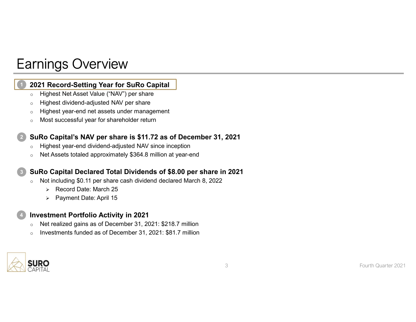## Earnings Overview

## 2021 Record-Setting Year for SuRo Capital

- 
- 
- 
- 

## • 2021 Record-Setting Year for SuRo Capital o Highest Net Asset Value ("NAV") per share<br>
⊙ Highest dividend-adjusted NAV per share<br>
⊙ Highest year-end net assets under management<br>
⊙ Most successful year for shareholder re **Earnings Overview**<br>
• Highest Net Asset Value ("NAV") per share<br>
• Highest year-end net assets under management<br>
• Highest year-end net assets under management<br>
• Most successful year for shareholder neturn<br> **SuRo Capital Earnings Overview**<br> **Earning Your Capital Declared Total Dividends of Noting the National Dividends of Notation**<br> **Earning Survey and the share in 2021**<br> **SuRo Capital's NAV per share is \$11.72 as of December 31, 2021**<br> **INGS OVETVIEW**<br>
Record-Setting Year for SuRo Capital<br>
ghest Net Asset Value ("NAV") per share<br>
ghest dividend-adjusted NAV per share<br>
ghest year-end net assets under management<br>
both successful year for shareholder retur INGS OVETVIEW<br>
Record-Setting Year for SuRo Capital<br>
ghest Net Asset Value ("NAV") per share<br>
ghest dividend-adjusted NAV per share<br>
ghest var-end net assets under management<br>
ost successful year for shareholder return<br>
D • 2021 Record-Setting Year for SuRo Capital<br>
• Highest NeValve ("NAV") per share<br>
• Highest gaar-end net assets under management<br>
• Most successful year for shareholder return<br>
• Most successful year of whateholder retur SuRo Capital's NAV per share is \$11.72 as of December 31, 2021

- 
- 

## SuRo Capital Declared Total Dividends of \$8.00 per share in 2021

- -
	-

- 
- 



4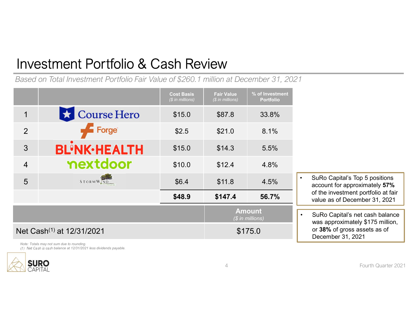## Investment Portfolio & Cash Review

|                                       | <b>Investment Portfolio &amp; Cash Review</b><br>Based on Total Investment Portfolio Fair Value of \$260.1 million at December 31, 2021 |                                       |                                       |                                     |                                                                                  |  |
|---------------------------------------|-----------------------------------------------------------------------------------------------------------------------------------------|---------------------------------------|---------------------------------------|-------------------------------------|----------------------------------------------------------------------------------|--|
|                                       |                                                                                                                                         | <b>Cost Basis</b><br>(\$ in millions) | <b>Fair Value</b><br>(\$ in millions) | % of Investment<br><b>Portfolio</b> |                                                                                  |  |
|                                       | Course Hero                                                                                                                             | \$15.0                                | \$87.8                                | 33.8%                               |                                                                                  |  |
| $\overline{2}$                        | $\sqrt{2}$ Forge                                                                                                                        | \$2.5                                 | \$21.0                                | 8.1%                                |                                                                                  |  |
| $\mathfrak{S}$                        | <b>BL'NK-HEALTH</b>                                                                                                                     | \$15.0                                | \$14.3                                | 5.5%                                |                                                                                  |  |
| 4                                     | nextdoor                                                                                                                                | \$10.0                                | \$12.4                                | 4.8%                                |                                                                                  |  |
| 5                                     | STORMWAD                                                                                                                                | \$6.4                                 | \$11.8                                | 4.5%                                | SuRo Capital's Top 5 positions<br>$\bullet$<br>account for approximately 57%     |  |
|                                       |                                                                                                                                         | \$48.9                                | \$147.4                               | 56.7%                               | of the investment portfolio at fair<br>value as of December 31, 2021             |  |
|                                       |                                                                                                                                         |                                       |                                       | <b>Amount</b><br>(\$ in millions)   | SuRo Capital's net cash balance<br>$\bullet$<br>was approximately \$175 million, |  |
| Net Cash <sup>(1)</sup> at 12/31/2021 |                                                                                                                                         |                                       | \$175.0                               |                                     | or 38% of gross assets as of<br>December 31, 2021                                |  |
|                                       | Note: Totals may not sum due to rounding.<br>(1) Net Cash is cash balance at 12/31/2021 less dividends payable.                         |                                       |                                       |                                     |                                                                                  |  |
| <b>SURO</b><br>CAPITAL                |                                                                                                                                         |                                       | 4                                     |                                     | Fourth Quarter 2021                                                              |  |
|                                       |                                                                                                                                         |                                       |                                       |                                     |                                                                                  |  |

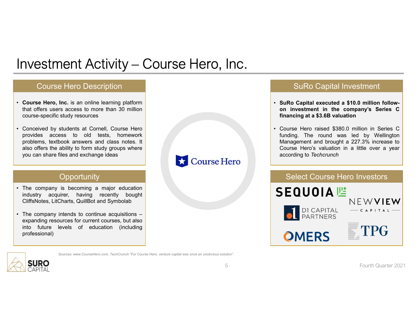# Investment Activity – Course Hero, Inc.<br>
Course Hero Description<br>
• Course Hero, Inc. is an online learning platform<br>
that offers users access to more than 30 million<br>
course-specific study resources<br>
• Conceived by studi That offers users access to more than 30 million<br>
Under that offers users access to more than 30 million<br>
Course-specific study resources<br>
Conceived by students at Cornell, Course Hero<br>
providens. textbook answers and clas TVESTMENT Activity — Course Hero, Inc.<br>
Course Hero, Inc. is an online learning platform<br>
Course Hero, Inc. is an online learning platform<br>
that offers users access to more than 30 million<br>
course-specific study resources<br>

## Course Hero Description

- 
- **Investment Activity Course Hero, Inc.**<br>
Course Hero, Inc. Sure<br>
that offers users access to more than 30 million<br>
course-specific study resources<br>
problems, textbook and cornell, Course Hero<br>
problems, textbook and cor **PROVIDENT ACTIVITY — COUITSE HETO, INC.**<br>
Course Hero Description<br>
Course Hero Description<br>
Course Hero Course is an online learning platform<br>
that offers users access to more than 30 million<br>
course-specific study resour **PROBER THE SERVICE SERVICE SERVICE SERVICE SERVICE SERVICE SERVICE SURFORMATION**<br>
Course Hero, Inc. is an online learning platform<br>
Course From Such and Conserved by students at Cornel Course Hero<br>
Conserved by students a **Alternative School Activity - Course Hero, Inc.**<br>
Course Hero Description<br>
Course Hero, Inc. is an online learning platform<br>
that offers users access to more than 30 million<br>
Course-specific study resources<br>
provides acce TVESTMENT Activity — Course Hero, Inc.<br>
Course Hero Description<br>
Course Hero, Inc. is an online learning platform<br>
mat offers users access to more fiain 30 million<br>
course-specific study resources<br>
Conceived by students at Investment Activity – Course Hero, Inc.<br>
Course Hero Description<br>
Course Hero Description<br>
Conciders users a conservant and a major model company of the company of the conservation<br>
provides a coeses to old tests, homework **INVESTMENT Activity — Course Hero, Inc.**<br>
Course Hero Description<br>
Course Hero Course Hero Conceived by students at Cornel, Course Hero<br>
Conceived a caces to old tests, homework<br>
problems, textbook answers and class notes IVESTITIENT ACTIVITY — COUTSE HELO, THC.<br>
Course Hero Description<br>
course Hero, Inc. is an online learning platform<br>
course secos to more than 30 million<br>
course-specific study resources<br>
Conceived by students at Cornel I, • Course Hero Description<br>
• Course Hero, Inc. is an online learning platform<br>
that offers users access to more than 30 million<br>
• Concided by studients at Company is become the continue access to old tests, homework<br>
pr Course Hero Description<br>
Course Hero, Inc. is an online learning platform<br>
conceived by students at Cornel, Course Hero<br>
Conceived by students at Cornel, Course Hero<br>
provides access to old tests, homework<br>
provides access Course Hero, Inc. is an online learning platform<br>that offers users access to more than 30 million<br>course-specific study resources<br>fronteine access to cold lests, homeworks and class notes. It function<br>problems, textbook an

## **Opportunity**

- 
- professional)

## SuRo Capital Investment

- SuRo Capital Investment<br>• SuRo Capital executed a \$10.0 million follow-<br>• SuRo Capital executed a \$10.0 million follow-<br>• Course Hero raised \$380.0 million in Series C<br>• funding. The round was led by Wellington SuRo Capital Investment<br>
SuRo Capital executed a \$10.0 million follow-<br>
on investment in the company's Series C<br>
financing at a \$3.6B valuation<br>
Course Hero raised \$380.0 million in Series C<br>
funding. The round was led by
- SuRo Capital Investment<br>
SuRo Capital executed a \$10.0 million follow-<br>
on investment in the company's Series C<br>
financing at a \$3.6B valuation<br>
Course Hero raised \$380.0 million in Series C<br>
funding. The round was led by SuRo Capital Investment<br>• SuRo Capital executed a \$10.0 million follow-<br>• on investment in the company's Series C<br>financing at a \$3.6B valuation<br>• Course Hero raised \$380.0 million in Series C<br>funding. The round was led by SuRo Capital Investment<br>SuRo Capital executed a \$10.0 million follow-<br>on investment in the company's Series C<br>financing at a \$3.6B valuation<br>Course Hero raised \$380.0 million in Series C<br>funding. The round was led by Welli SuRo Capital Investment<br>
SuRo Capital executed a \$10.0 million follow-<br>
on investment in the company's Series C<br>
financing at a \$3.6B valuation<br>
Course Hero raised \$380.0 million in Series C<br>
Management and brought a 227.3 SuRo Capital Investment<br>
SuRo Capital executed a \$10.0 million follow-<br>
on investment in the company's Series C<br>
financing at a \$3.6B valuation<br>
Course Hero raised \$380.0 million in Series C<br>
funding. The round was led by SuRo Capital Investment<br>
SuRo Capital executed a \$10.0 million follow-<br>
on investment in the company's Series C<br>
financing at a \$3.6B valuation<br>
Course Hero raised \$380.0 million in Series C<br>
funding. The round was led by



Sources: www.CourseHero.com, TechCrunch "For Course Hero, venture capital was once an unobvious solution".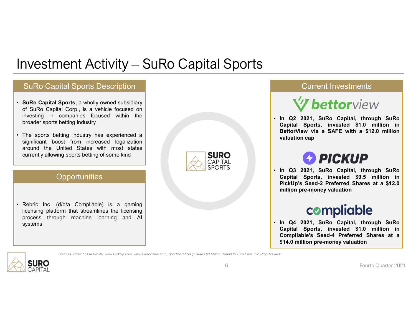## Investment Activity – SuRo Capital Sports<br>SuRo Capital Sports Description<br>All Sources Lines Investment Activity – SuRo Capital Sports<br>
SuRo Capital Sports, a wholly owned subsidiary<br>
of SuRo Capital Sports, a wholly owned subsidiary<br>
of SuRo Capital Corp., is a vehicle focused on<br>
investing in companies focused w **NVEStment Activity — SuRo Capital Sports**<br>
SuRo Capital Sports<br>
SuRo Capital Sports<br>
of SuRo Capital Corp., is a vehicle focused on<br>
of SuRo Capital Corp., is a vehicle focused on<br>
Investing in companies focused within th **INVESTMENT Activity — SuRo Capital Sports**<br> **SuRo Capital Sports, a wholly owned subsidiary**<br> **SuRo Capital Sports, a wholly owned subsidiary**<br>
investing in companies focused within the<br>
investing in companies focused wit **hroader School Surform (School Surform Capital Sports betting industry)**<br>
Surfor Capital Sports bescription<br>
Surfor Capital Sports, is a wholly owned subsidiary<br>
of surfor Capital Corp., is a vericle focused on<br>
divisesti **Investment Activity – SuRo Capital Sports**<br> **SuRo Capital Sports**<br> **SuRo Capital Sports**<br> **SuRo Capital Corp.** is a whelly owned subsidiary<br>
mesting in companies focused with the<br>
broader sports betting industry<br>
the spo **SURO CAPITAL CONSUMBER CONSUMIST AND CAPITAL CONSUMIST CONSUMIST AND CAPITAL CONSUMIST AND CAPITAL CONSUMIST AND CAPITAL CONSUMIST AND CAPITAL CONSUMIST AND CAPITAL CONSUMIST AND CAPITAL CONSUMIST AND CAPITAL CONSUMIST AN EXERCIT NO SECUTE AND SECUTE AND SECUTE AND SECURE AND SECURE AND SECURE AND SECURE AND SERVICE AND SECURE AND SECURE AND SECURE AND SECURE AND SECURE AND SECURE AND SECURE AND SECURE AND SERVICE AND SECURE AND SERVICE AN TVEStment Activity – SuRo Capital Sports**<br>
SuRo Capital Sports<br>
SuRo Capital Sports<br>
SuRo Capital Sports<br>
Currently allowing in companies focused within the<br>
broader sports betting industry<br>
broader sports betting industr

## SuRo Capital Sports Description

- 
- 

## **Opportunities**

• Rebric Inc. (d/b/a Compliable) is a gaming<br>
inconesing incompliable is a gaming<br>
incore stretch and the United States of SuRo Capital Corp., is a vehicle focused on<br>
investing in companies focused within the<br>
the sports SuRo Capital Sports Description<br>
SuRo Capital Sports, a wholly owned subsidiary<br>
divisioning in companies focused within the<br>
broader sports betting industry has experienced a<br>
significant boost from increased legalization SuRo Capital Sports, a wholly owned subsidiary<br>
of SuRo Capital Sports, a wholly owned subsidiary<br>
investing in comparise focused within<br>
the sports betting industry has experienced a<br>
significant boost from increased lega systems



## Current Investments

Current Investments<br> **Current Investments**<br>
• In Q2 2021, SuRo Capital, through SuRo<br>
Capital Sports, invested \$1.0 million in<br>
BettorView via a SAFE with a \$12.0 million<br>
valuation cap Current Investments<br>
Volto View<br>
In Q2 2021, SuRo Capital, through SuRo<br>
Capital Sports, invested \$1.0 million in<br>
BettorView via a SAFE with a \$12.0 million<br>
valuation cap<br>
DICVIID Current Investments<br> **Solution**<br>
In Q2 2021, SuRo Capital, through SuRo<br>
Capital Sports, invested \$1.0 million in<br>
BettorView via a SAFE with a \$12.0 million<br>
valuation cap<br> **PICKUP** Current Investments<br>
Volto Capital, through SuRo<br>
Capital Sports, invested \$1.0 million in<br>
BettorView via a SAFE with a \$12.0 million<br>
valuation cap<br>
Volto 2021. SuRo Capital, through SuRo Current Investments<br>
Wettorview<br>
In Q2 2021, SuRo Capital, through SuRo<br>
Capital Sports, invested \$1.0 million in<br>
BettorView via a SAFE with a \$12.0 million<br>
valuation cap<br>
PICKUP<br>
In Q3 2021, SuRo Capital, through SuRo<br> Current Investments<br>
Volto Capital, through SuRo<br>
Capital Sports, invested \$1.0 million in<br>
BettorView via a SAFE with a \$12.0 million<br>
valuation cap<br>
Capital Sports, invested \$1.0 million<br>
Capital Sports, invested \$0.5 mi **Current Investments**<br> **Widtor View**<br>
In Q2 2021, SuRo Capital, through SuRo<br>
Capital Sports, invested \$1.0 million in<br>
BettorView via a SAFE with a \$12.0 million<br>
valuation cap<br> **PICKUP**<br>
In Q3 2021, SuRo Capital, through



Current Investments<br> **Current Investments**<br> **Capital Sports, invested \$1.0 million in**<br>
BettorView via a SAFE with a \$12.0 million<br>
valuation cap<br> **PICKUP**<br>
In Q3 2021, SuRo Capital, through SuRo<br>
Capital Sports, invested

**Example 12 2021, SuRo Capital, through SuRo Capital Sports, invested \$1.0 million in BettorView via a SAFE with a \$12.0 million valuation cap**<br> **••** In Q3 2021, SuRo Capital, through SuRo Capital Sports, invested \$0.5 mil **Capital Sports, invested \$1.0 million in**<br>Capital Sports, invested \$1.0 million in<br>BettorView via a SAFE with a \$12.0 million invaluation cap<br>Manusian cap<br>Capital Sports, invested \$0.5 million in<br>PickUp's Seed-2 Preferred **Complete Space of the Complete Shares and Space Complementation**<br>
Capital Sports, invested \$1.0 million in<br>
BettorView via a SAFE with a \$12.0 million<br>
valuation cap<br> **PICKUP**<br>
In Q3 2021, SuRo Capital, through SuRo<br>
Capi **EXECT VIEW**<br>
In Q2 2021, SuRo Capital, through SuRo<br>
Capital Sports, invested \$1.0 million in<br>
BettorView via a SAFE with a \$12.0 million<br>
valuation cap<br> **PICKUP**<br>
In Q3 2021, SuRo Capital, through SuRo<br>
Capital Sports, i Some Crunches: Profile, www.PickUp on the experienced a<br>
Deportunities<br>
Sources: From increase legislation compliance is a gaming<br>
db/a Compliance Learning and All<br>
Sources: Concession Profile, www.Pickup on the line of th

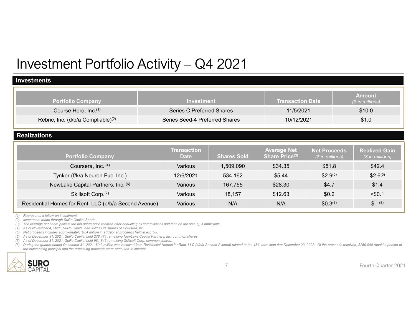## Investments

| Investment Portfolio Activity - Q4 2021                      |                                                       |                      |                                       |                             |                                             |
|--------------------------------------------------------------|-------------------------------------------------------|----------------------|---------------------------------------|-----------------------------|---------------------------------------------|
| <b>Investments</b>                                           |                                                       |                      |                                       |                             |                                             |
|                                                              |                                                       |                      |                                       |                             |                                             |
|                                                              |                                                       |                      |                                       |                             | <b>Amount</b>                               |
| <b>Portfolio Company</b><br>Course Hero, Inc. <sup>(1)</sup> | <b>Investment</b><br><b>Series C Preferred Shares</b> |                      | <b>Transaction Date</b><br>11/5/2021  |                             | $\overline{(\$ in millions)}$<br>\$10.0     |
| Rebric, Inc. (d/b/a Compliable) <sup>(2)</sup>               | Series Seed-4 Preferred Shares                        |                      | 10/12/2021                            |                             | \$1.0                                       |
|                                                              |                                                       |                      |                                       |                             |                                             |
| <b>Realizations</b>                                          | <b>Transaction</b>                                    |                      | <b>Average Net</b>                    | <b>Net Proceeds</b>         | <b>Realized Gain</b>                        |
| <b>Portfolio Company</b><br>Coursera, Inc. (4)               | <b>Date</b><br>Various                                | <b>Shares Sold</b>   | Share Price <sup>(3)</sup><br>\$34.35 | $($$ in millions)<br>\$51.8 | $(S \in \mathbb{R})$ in millions)<br>\$42.4 |
| Tynker (f/k/a Neuron Fuel Inc.)                              | 12/6/2021                                             | 1,509,090<br>534,162 | \$5.44                                | $$2.9^{(5)}$                | $$2.6^{(5)}$                                |
| NewLake Capital Partners, Inc. (6)                           | Various                                               | 167,755              | \$28.30                               | \$4.7                       | \$1.4                                       |
| Skillsoft Corp. <sup>(7)</sup>                               | Various                                               | 18,157               | \$12.63                               | \$0.2\$                     | $<$ \$0.1                                   |

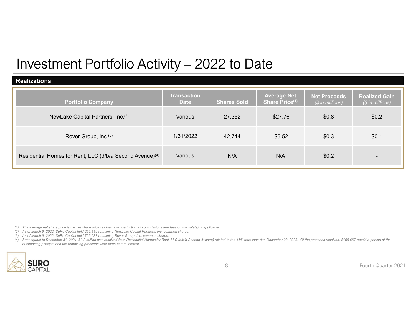| Investment Portfolio Activity - 2022 to Date                                                                                                                                                                                                                                                                                                                                                                                                                                                                                                                                                                                                                                |                        |                              |                           |                           |                             |  |  |  |
|-----------------------------------------------------------------------------------------------------------------------------------------------------------------------------------------------------------------------------------------------------------------------------------------------------------------------------------------------------------------------------------------------------------------------------------------------------------------------------------------------------------------------------------------------------------------------------------------------------------------------------------------------------------------------------|------------------------|------------------------------|---------------------------|---------------------------|-----------------------------|--|--|--|
| <b>Realizations</b>                                                                                                                                                                                                                                                                                                                                                                                                                                                                                                                                                                                                                                                         | <b>Transaction</b>     |                              | <b>Average Net</b>        | <b>Net Proceeds</b>       | <b>Realized Gain</b>        |  |  |  |
| <b>Portfolio Company</b><br>NewLake Capital Partners, Inc.(2)                                                                                                                                                                                                                                                                                                                                                                                                                                                                                                                                                                                                               | <b>Date</b><br>Various | <b>Shares Sold</b><br>27,352 | Share Price(1)<br>\$27.76 | (\$ in millions)<br>\$0.8 | (\$ in millions)<br>\$0.2\$ |  |  |  |
| Rover Group, Inc.(3)                                                                                                                                                                                                                                                                                                                                                                                                                                                                                                                                                                                                                                                        | 1/31/2022              | 42,744                       | \$6.52                    | \$0.3                     | \$0.1                       |  |  |  |
| Residential Homes for Rent, LLC (d/b/a Second Avenue) <sup>(4)</sup>                                                                                                                                                                                                                                                                                                                                                                                                                                                                                                                                                                                                        | Various                | N/A                          | N/A                       | \$0.2\$                   |                             |  |  |  |
| (1) The average net share price is the net share price realized after deducting all commissions and fees on the sale(s), if applicable.<br>(2) As of March 9, 2022, SuRo Capital held 251,119 remaining NewLake Capital Partners, Inc. common shares.<br>(3) As of March 9, 2022, SuRo Capital held 795,637 remaining Rover Group, Inc. common shares.<br>(4) Subsequent to December 31, 2021, \$0.2 million was received from Residential Homes for Rent, LLC (d/b/a Second Avenue) related to the 15% term loan due December 23, 2023. Of the proceeds received, \$166,667 repaid a port<br>outstanding principal and the remaining proceeds were attributed to interest. |                        |                              |                           |                           |                             |  |  |  |
| <b>SURO</b><br>CAPITAL                                                                                                                                                                                                                                                                                                                                                                                                                                                                                                                                                                                                                                                      |                        | 8                            |                           |                           | Fourth Quarter 2021         |  |  |  |

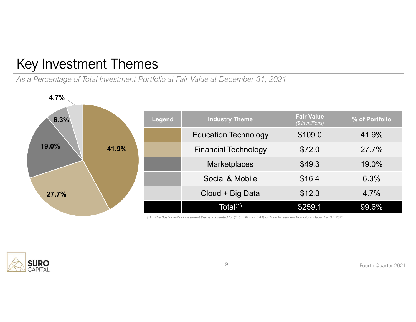## Key Investment Themes